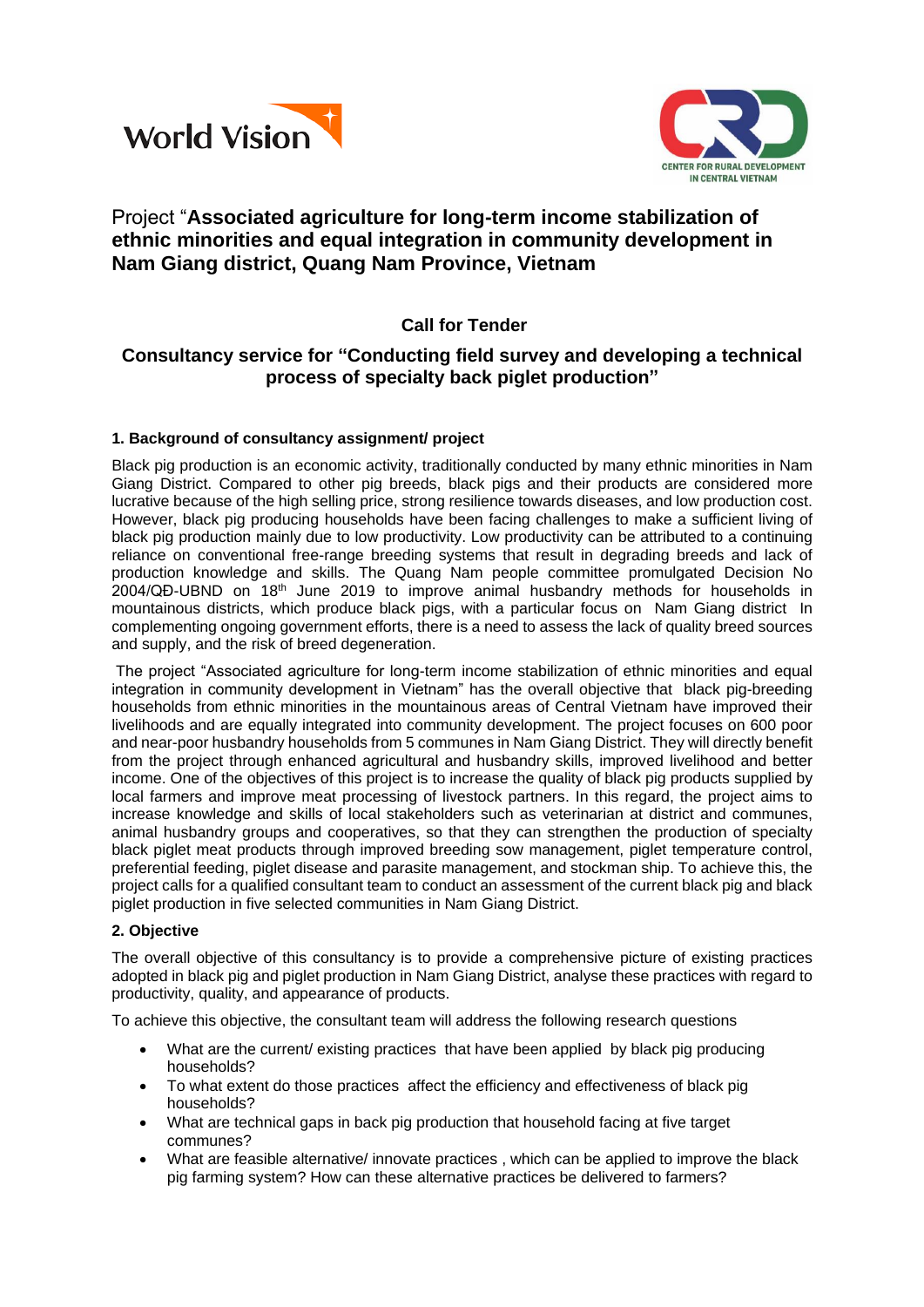



# Project "**Associated agriculture for long-term income stabilization of ethnic minorities and equal integration in community development in Nam Giang district, Quang Nam Province, Vietnam**

## **Call for Tender**

## **Consultancy service for "Conducting field survey and developing a technical process of specialty back piglet production"**

## **1. Background of consultancy assignment/ project**

Black pig production is an economic activity, traditionally conducted by many ethnic minorities in Nam Giang District. Compared to other pig breeds, black pigs and their products are considered more lucrative because of the high selling price, strong resilience towards diseases, and low production cost. However, black pig producing households have been facing challenges to make a sufficient living of black pig production mainly due to low productivity. Low productivity can be attributed to a continuing reliance on conventional free-range breeding systems that result in degrading breeds and lack of production knowledge and skills. The Quang Nam people committee promulgated Decision No  $2004/\text{Q}$ D-UBND on  $18<sup>th</sup>$  June 2019 to improve animal husbandry methods for households in mountainous districts, which produce black pigs, with a particular focus on Nam Giang district In complementing ongoing government efforts, there is a need to assess the lack of quality breed sources and supply, and the risk of breed degeneration.

The project "Associated agriculture for long-term income stabilization of ethnic minorities and equal integration in community development in Vietnam" has the overall objective that black pig-breeding households from ethnic minorities in the mountainous areas of Central Vietnam have improved their livelihoods and are equally integrated into community development. The project focuses on 600 poor and near-poor husbandry households from 5 communes in Nam Giang District. They will directly benefit from the project through enhanced agricultural and husbandry skills, improved livelihood and better income. One of the objectives of this project is to increase the quality of black pig products supplied by local farmers and improve meat processing of livestock partners. In this regard, the project aims to increase knowledge and skills of local stakeholders such as veterinarian at district and communes, animal husbandry groups and cooperatives, so that they can strengthen the production of specialty black piglet meat products through improved breeding sow management, piglet temperature control, preferential feeding, piglet disease and parasite management, and stockman ship. To achieve this, the project calls for a qualified consultant team to conduct an assessment of the current black pig and black piglet production in five selected communities in Nam Giang District.

#### **2. Objective**

The overall objective of this consultancy is to provide a comprehensive picture of existing practices adopted in black pig and piglet production in Nam Giang District, analyse these practices with regard to productivity, quality, and appearance of products.

To achieve this objective, the consultant team will address the following research questions

- What are the current/ existing practices that have been applied by black pig producing households?
- To what extent do those practices affect the efficiency and effectiveness of black pig households?
- What are technical gaps in back pig production that household facing at five target communes?
- What are feasible alternative/ innovate practices , which can be applied to improve the black pig farming system? How can these alternative practices be delivered to farmers?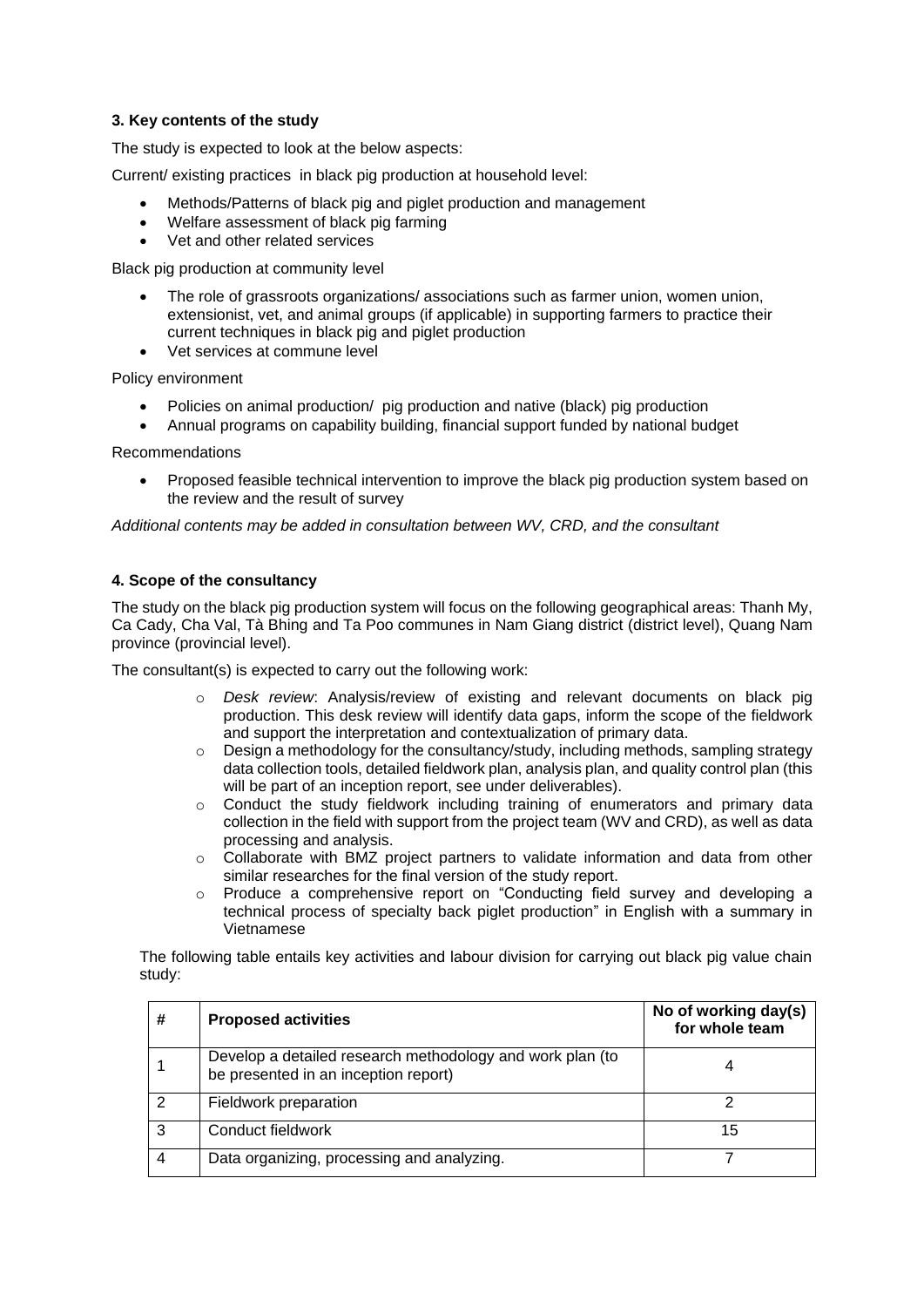## **3. Key contents of the study**

The study is expected to look at the below aspects:

Current/ existing practices in black pig production at household level:

- Methods/Patterns of black pig and piglet production and management
- Welfare assessment of black pig farming
- Vet and other related services

Black pig production at community level

- The role of grassroots organizations/ associations such as farmer union, women union, extensionist, vet, and animal groups (if applicable) in supporting farmers to practice their current techniques in black pig and piglet production
- Vet services at commune level

Policy environment

- Policies on animal production/ pig production and native (black) pig production
- Annual programs on capability building, financial support funded by national budget

Recommendations

• Proposed feasible technical intervention to improve the black pig production system based on the review and the result of survey

*Additional contents may be added in consultation between WV, CRD, and the consultant*

#### **4. Scope of the consultancy**

The study on the black pig production system will focus on the following geographical areas: Thanh My, Ca Cady, Cha Val, Tà Bhing and Ta Poo communes in Nam Giang district (district level), Quang Nam province (provincial level).

The consultant(s) is expected to carry out the following work:

- o *Desk review*: Analysis/review of existing and relevant documents on black pig production. This desk review will identify data gaps, inform the scope of the fieldwork and support the interpretation and contextualization of primary data.
- $\circ$  Design a methodology for the consultancy/study, including methods, sampling strategy data collection tools, detailed fieldwork plan, analysis plan, and quality control plan (this will be part of an inception report, see under deliverables).
- $\circ$  Conduct the study fieldwork including training of enumerators and primary data collection in the field with support from the project team (WV and CRD), as well as data processing and analysis.
- $\circ$  Collaborate with BMZ project partners to validate information and data from other similar researches for the final version of the study report.
- o Produce a comprehensive report on "Conducting field survey and developing a technical process of specialty back piglet production" in English with a summary in Vietnamese

The following table entails key activities and labour division for carrying out black pig value chain study:

| # | <b>Proposed activities</b>                                                                        | No of working day(s)<br>for whole team |
|---|---------------------------------------------------------------------------------------------------|----------------------------------------|
|   | Develop a detailed research methodology and work plan (to<br>be presented in an inception report) |                                        |
| 2 | Fieldwork preparation                                                                             |                                        |
| ົ | Conduct fieldwork                                                                                 | 15                                     |
|   | Data organizing, processing and analyzing.                                                        |                                        |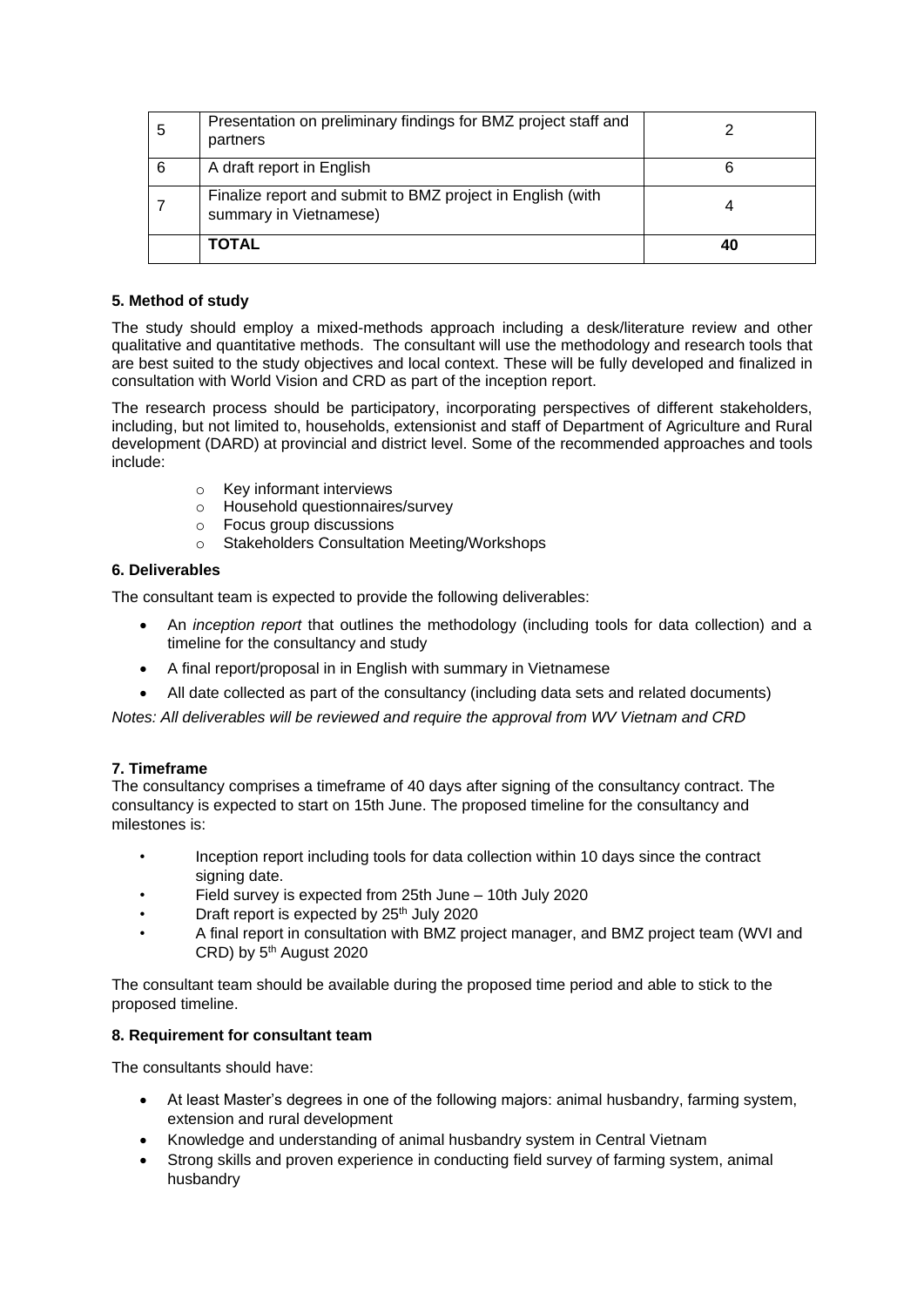| 5 | Presentation on preliminary findings for BMZ project staff and<br>partners           |    |
|---|--------------------------------------------------------------------------------------|----|
| 6 | A draft report in English                                                            |    |
|   | Finalize report and submit to BMZ project in English (with<br>summary in Vietnamese) |    |
|   | <b>TOTAL</b>                                                                         | 40 |

## **5. Method of study**

The study should employ a mixed-methods approach including a desk/literature review and other qualitative and quantitative methods. The consultant will use the methodology and research tools that are best suited to the study objectives and local context. These will be fully developed and finalized in consultation with World Vision and CRD as part of the inception report.

The research process should be participatory, incorporating perspectives of different stakeholders, including, but not limited to, households, extensionist and staff of Department of Agriculture and Rural development (DARD) at provincial and district level. Some of the recommended approaches and tools include:

- o Key informant interviews
- o Household questionnaires/survey
- o Focus group discussions
- o Stakeholders Consultation Meeting/Workshops

## **6. Deliverables**

The consultant team is expected to provide the following deliverables:

- An *inception report* that outlines the methodology (including tools for data collection) and a timeline for the consultancy and study
- A final report/proposal in in English with summary in Vietnamese
- All date collected as part of the consultancy (including data sets and related documents)

*Notes: All deliverables will be reviewed and require the approval from WV Vietnam and CRD*

## **7. Timeframe**

The consultancy comprises a timeframe of 40 days after signing of the consultancy contract. The consultancy is expected to start on 15th June. The proposed timeline for the consultancy and milestones is:

- Inception report including tools for data collection within 10 days since the contract signing date.
- Field survey is expected from 25th June 10th July 2020
- Draft report is expected by 25<sup>th</sup> July 2020
- A final report in consultation with BMZ project manager, and BMZ project team (WVI and CRD) by  $5<sup>th</sup>$  August 2020

The consultant team should be available during the proposed time period and able to stick to the proposed timeline.

## **8. Requirement for consultant team**

The consultants should have:

- At least Master's degrees in one of the following majors: animal husbandry, farming system, extension and rural development
- Knowledge and understanding of animal husbandry system in Central Vietnam
- Strong skills and proven experience in conducting field survey of farming system, animal husbandry